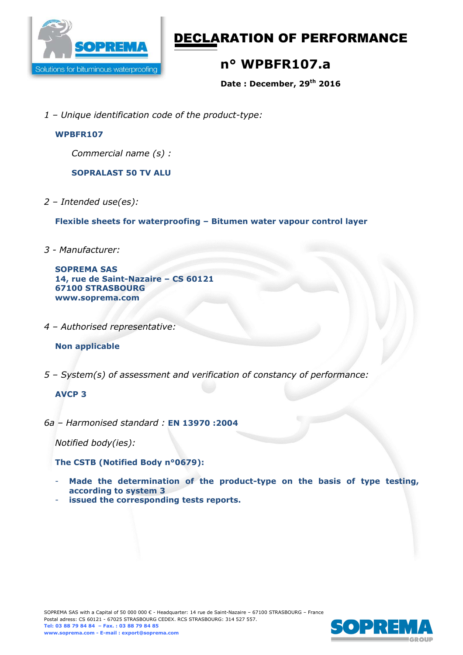

# DECLARATION OF PERFORMANCE

## **n° WPBFR107.a**

**Date : December, 29th 2016** 

*1 – Unique identification code of the product-type:*

### **WPBFR107**

*Commercial name (s) :* 

**SOPRALAST 50 TV ALU** 

*2 – Intended use(es):* 

**Flexible sheets for waterproofing – Bitumen water vapour control layer** 

*3 - Manufacturer:* 

```
SOPREMA SAS 
14, rue de Saint-Nazaire – CS 60121 
67100 STRASBOURG 
www.soprema.com
```
*4 – Authorised representative:* 

## **Non applicable**

*5 – System(s) of assessment and verification of constancy of performance:* 

## **AVCP 3**

*6a – Harmonised standard :* **EN 13970 :2004**

*Notified body(ies):* 

**The CSTB (Notified Body n°0679):** 

- **Made the determination of the product-type on the basis of type testing, according to system 3**
- issued the corresponding tests reports.